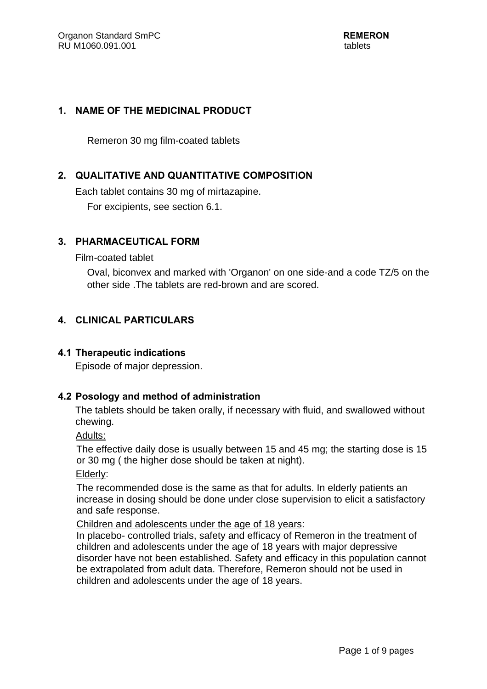## **1. NAME OF THE MEDICINAL PRODUCT**

Remeron 30 mg film-coated tablets

# **2. QUALITATIVE AND QUANTITATIVE COMPOSITION**

Each tablet contains 30 mg of mirtazapine. For excipients, see section 6.1.

## **3. PHARMACEUTICAL FORM**

Film-coated tablet

Oval, biconvex and marked with 'Organon' on one side-and a code TZ/5 on the other side .The tablets are red-brown and are scored.

## **4. CLINICAL PARTICULARS**

## **4.1 Therapeutic indications**

Episode of major depression.

## **4.2 Posology and method of administration**

The tablets should be taken orally, if necessary with fluid, and swallowed without chewing.

Adults:

 The effective daily dose is usually between 15 and 45 mg; the starting dose is 15 or 30 mg ( the higher dose should be taken at night).

Elderly:

 The recommended dose is the same as that for adults. In elderly patients an increase in dosing should be done under close supervision to elicit a satisfactory and safe response.

Children and adolescents under the age of 18 years:

In placebo- controlled trials, safety and efficacy of Remeron in the treatment of children and adolescents under the age of 18 years with major depressive disorder have not been established. Safety and efficacy in this population cannot be extrapolated from adult data. Therefore, Remeron should not be used in children and adolescents under the age of 18 years.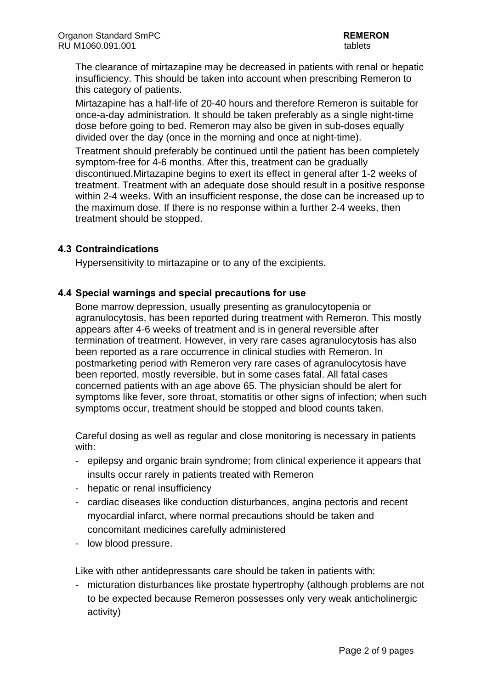The clearance of mirtazapine may be decreased in patients with renal or hepatic insufficiency. This should be taken into account when prescribing Remeron to this category of patients.

Mirtazapine has a half-life of 20-40 hours and therefore Remeron is suitable for once-a-day administration. It should be taken preferably as a single night-time dose before going to bed. Remeron may also be given in sub-doses equally divided over the day (once in the morning and once at night-time).

Treatment should preferably be continued until the patient has been completely symptom-free for 4-6 months. After this, treatment can be gradually discontinued.Mirtazapine begins to exert its effect in general after 1-2 weeks of treatment. Treatment with an adequate dose should result in a positive response within 2-4 weeks. With an insufficient response, the dose can be increased up to the maximum dose. If there is no response within a further 2-4 weeks, then treatment should be stopped.

## **4.3 Contraindications**

Hypersensitivity to mirtazapine or to any of the excipients.

## **4.4 Special warnings and special precautions for use**

Bone marrow depression, usually presenting as granulocytopenia or agranulocytosis, has been reported during treatment with Remeron. This mostly appears after 4-6 weeks of treatment and is in general reversible after termination of treatment. However, in very rare cases agranulocytosis has also been reported as a rare occurrence in clinical studies with Remeron. In postmarketing period with Remeron very rare cases of agranulocytosis have been reported, mostly reversible, but in some cases fatal. All fatal cases concerned patients with an age above 65. The physician should be alert for symptoms like fever, sore throat, stomatitis or other signs of infection; when such symptoms occur, treatment should be stopped and blood counts taken.

Careful dosing as well as regular and close monitoring is necessary in patients with:

- epilepsy and organic brain syndrome; from clinical experience it appears that insults occur rarely in patients treated with Remeron
- hepatic or renal insufficiency
- cardiac diseases like conduction disturbances, angina pectoris and recent myocardial infarct, where normal precautions should be taken and concomitant medicines carefully administered
- low blood pressure.

Like with other antidepressants care should be taken in patients with:

- micturation disturbances like prostate hypertrophy (although problems are not to be expected because Remeron possesses only very weak anticholinergic activity)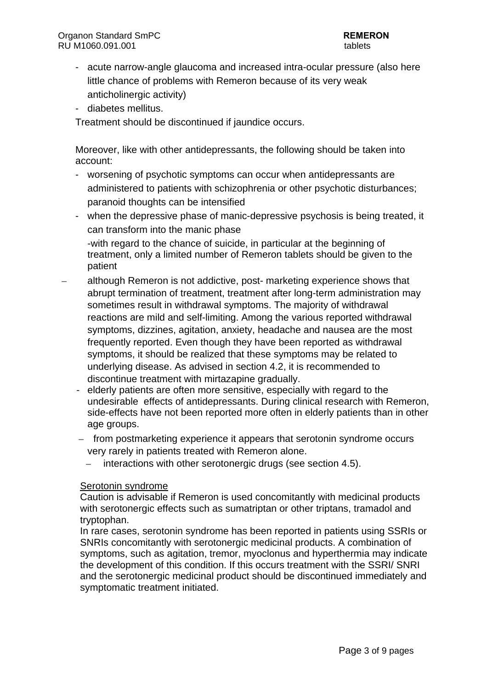- acute narrow-angle glaucoma and increased intra-ocular pressure (also here little chance of problems with Remeron because of its very weak anticholinergic activity)
- diabetes mellitus.

Treatment should be discontinued if jaundice occurs.

Moreover, like with other antidepressants, the following should be taken into account:

- worsening of psychotic symptoms can occur when antidepressants are administered to patients with schizophrenia or other psychotic disturbances; paranoid thoughts can be intensified
- when the depressive phase of manic-depressive psychosis is being treated, it can transform into the manic phase

-with regard to the chance of suicide, in particular at the beginning of treatment, only a limited number of Remeron tablets should be given to the patient

- although Remeron is not addictive, post- marketing experience shows that abrupt termination of treatment, treatment after long-term administration may sometimes result in withdrawal symptoms. The majority of withdrawal reactions are mild and self-limiting. Among the various reported withdrawal symptoms, dizzines, agitation, anxiety, headache and nausea are the most frequently reported. Even though they have been reported as withdrawal symptoms, it should be realized that these symptoms may be related to underlying disease. As advised in section 4.2, it is recommended to discontinue treatment with mirtazapine gradually.
	- elderly patients are often more sensitive, especially with regard to the undesirable effects of antidepressants. During clinical research with Remeron, side-effects have not been reported more often in elderly patients than in other age groups.
	- from postmarketing experience it appears that serotonin syndrome occurs very rarely in patients treated with Remeron alone.
		- interactions with other serotonergic drugs (see section 4.5).

#### Serotonin syndrome

Caution is advisable if Remeron is used concomitantly with medicinal products with serotonergic effects such as sumatriptan or other triptans, tramadol and tryptophan.

In rare cases, serotonin syndrome has been reported in patients using SSRIs or SNRIs concomitantly with serotonergic medicinal products. A combination of symptoms, such as agitation, tremor, myoclonus and hyperthermia may indicate the development of this condition. If this occurs treatment with the SSRI/ SNRI and the serotonergic medicinal product should be discontinued immediately and symptomatic treatment initiated.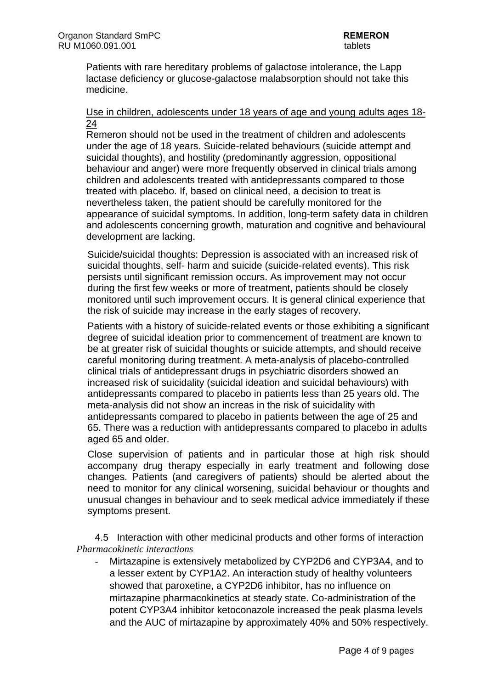Patients with rare hereditary problems of galactose intolerance, the Lapp lactase deficiency or glucose-galactose malabsorption should not take this medicine.

#### Use in children, adolescents under 18 years of age and young adults ages 18- 24

Remeron should not be used in the treatment of children and adolescents under the age of 18 years. Suicide-related behaviours (suicide attempt and suicidal thoughts), and hostility (predominantly aggression, oppositional behaviour and anger) were more frequently observed in clinical trials among children and adolescents treated with antidepressants compared to those treated with placebo. If, based on clinical need, a decision to treat is nevertheless taken, the patient should be carefully monitored for the appearance of suicidal symptoms. In addition, long-term safety data in children and adolescents concerning growth, maturation and cognitive and behavioural development are lacking.

Suicide/suicidal thoughts: Depression is associated with an increased risk of suicidal thoughts, self- harm and suicide (suicide-related events). This risk persists until significant remission occurs. As improvement may not occur during the first few weeks or more of treatment, patients should be closely monitored until such improvement occurs. It is general clinical experience that the risk of suicide may increase in the early stages of recovery.

Patients with a history of suicide-related events or those exhibiting a significant degree of suicidal ideation prior to commencement of treatment are known to be at greater risk of suicidal thoughts or suicide attempts, and should receive careful monitoring during treatment. A meta-analysis of placebo-controlled clinical trials of antidepressant drugs in psychiatric disorders showed an increased risk of suicidality (suicidal ideation and suicidal behaviours) with antidepressants compared to placebo in patients less than 25 years old. The meta-analysis did not show an increas in the risk of suicidality with antidepressants compared to placebo in patients between the age of 25 and 65. There was a reduction with antidepressants compared to placebo in adults aged 65 and older.

Close supervision of patients and in particular those at high risk should accompany drug therapy especially in early treatment and following dose changes. Patients (and caregivers of patients) should be alerted about the need to monitor for any clinical worsening, suicidal behaviour or thoughts and unusual changes in behaviour and to seek medical advice immediately if these symptoms present.

4.5 Interaction with other medicinal products and other forms of interaction *Pharmacokinetic interactions* 

*-* Mirtazapine is extensively metabolized by CYP2D6 and CYP3A4, and to a lesser extent by CYP1A2. An interaction study of healthy volunteers showed that paroxetine, a CYP2D6 inhibitor, has no influence on mirtazapine pharmacokinetics at steady state. Co-administration of the potent CYP3A4 inhibitor ketoconazole increased the peak plasma levels and the AUC of mirtazapine by approximately 40% and 50% respectively.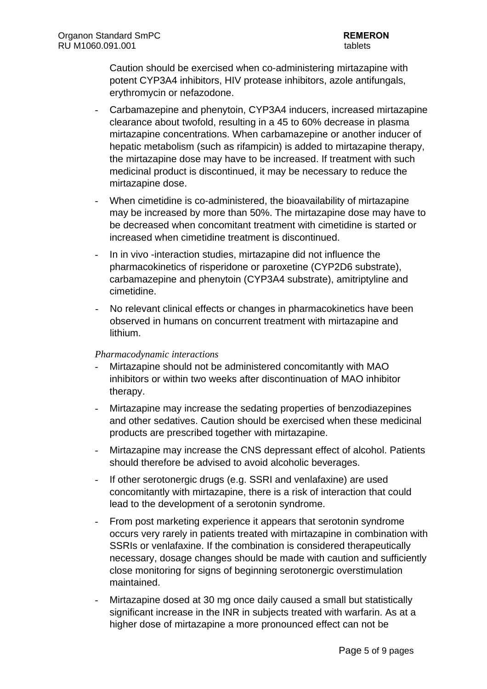Caution should be exercised when co-administering mirtazapine with potent CYP3A4 inhibitors, HIV protease inhibitors, azole antifungals, erythromycin or nefazodone.

- *-* Carbamazepine and phenytoin, CYP3A4 inducers, increased mirtazapine clearance about twofold, resulting in a 45 to 60% decrease in plasma mirtazapine concentrations. When carbamazepine or another inducer of hepatic metabolism (such as rifampicin) is added to mirtazapine therapy, the mirtazapine dose may have to be increased. If treatment with such medicinal product is discontinued, it may be necessary to reduce the mirtazapine dose.
- When cimetidine is co-administered, the bioavailability of mirtazapine may be increased by more than 50%. The mirtazapine dose may have to be decreased when concomitant treatment with cimetidine is started or increased when cimetidine treatment is discontinued.
- *-* In in vivo -interaction studies, mirtazapine did not influence the pharmacokinetics of risperidone or paroxetine (CYP2D6 substrate), carbamazepine and phenytoin (CYP3A4 substrate), amitriptyline and cimetidine.
- *-* No relevant clinical effects or changes in pharmacokinetics have been observed in humans on concurrent treatment with mirtazapine and lithium.

#### *Pharmacodynamic interactions*

- *-* Mirtazapine should not be administered concomitantly with MAO inhibitors or within two weeks after discontinuation of MAO inhibitor therapy.
- *-* Mirtazapine may increase the sedating properties of benzodiazepines and other sedatives. Caution should be exercised when these medicinal products are prescribed together with mirtazapine.
- *-* Mirtazapine may increase the CNS depressant effect of alcohol. Patients should therefore be advised to avoid alcoholic beverages.
- *-* If other serotonergic drugs (e.g. SSRI and venlafaxine) are used concomitantly with mirtazapine, there is a risk of interaction that could lead to the development of a serotonin syndrome.
- *-* From post marketing experience it appears that serotonin syndrome occurs very rarely in patients treated with mirtazapine in combination with SSRIs or venlafaxine. If the combination is considered therapeutically necessary, dosage changes should be made with caution and sufficiently close monitoring for signs of beginning serotonergic overstimulation maintained.
- *-* Mirtazapine dosed at 30 mg once daily caused a small but statistically significant increase in the INR in subjects treated with warfarin. As at a higher dose of mirtazapine a more pronounced effect can not be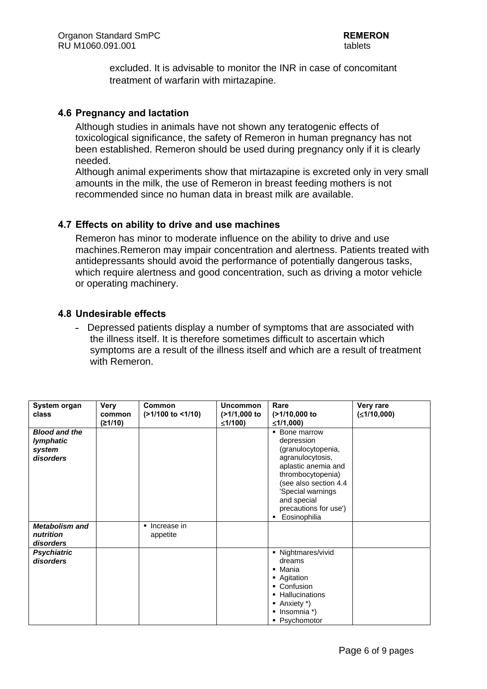excluded. It is advisable to monitor the INR in case of concomitant treatment of warfarin with mirtazapine.

#### **4.6 Pregnancy and lactation**

Although studies in animals have not shown any teratogenic effects of toxicological significance, the safety of Remeron in human pregnancy has not been established. Remeron should be used during pregnancy only if it is clearly needed.

Although animal experiments show that mirtazapine is excreted only in very small amounts in the milk, the use of Remeron in breast feeding mothers is not recommended since no human data in breast milk are available.

#### **4.7 Effects on ability to drive and use machines**

Remeron has minor to moderate influence on the ability to drive and use machines.Remeron may impair concentration and alertness. Patients treated with antidepressants should avoid the performance of potentially dangerous tasks, which require alertness and good concentration, such as driving a motor vehicle or operating machinery.

#### **4.8 Undesirable effects**

- Depressed patients display a number of symptoms that are associated with the illness itself. It is therefore sometimes difficult to ascertain which symptoms are a result of the illness itself and which are a result of treatment with Remeron.

| System organ<br>class                                           | Verv<br>common<br>(≥1/10) | Common<br>(>1/100 to <1/10) | <b>Uncommon</b><br>$($ >1/1,000 to<br>≤1/100) | Rare<br>(>1/10,000 to<br>≤1/1,000)                                                                                                                                                                                      | Very rare<br>(≤1/10,000) |
|-----------------------------------------------------------------|---------------------------|-----------------------------|-----------------------------------------------|-------------------------------------------------------------------------------------------------------------------------------------------------------------------------------------------------------------------------|--------------------------|
| <b>Blood and the</b><br><b>lymphatic</b><br>system<br>disorders |                           |                             |                                               | • Bone marrow<br>depression<br>(granulocytopenia,<br>agranulocytosis,<br>aplastic anemia and<br>thrombocytopenia)<br>(see also section 4.4<br>'Special warnings<br>and special<br>precautions for use')<br>Eosinophilia |                          |
| <b>Metabolism and</b><br>nutrition<br>disorders                 |                           | lncrease in<br>appetite     |                                               |                                                                                                                                                                                                                         |                          |
| <b>Psychiatric</b><br>disorders                                 |                           |                             |                                               | • Nightmares/vivid<br>dreams<br>• Mania<br>• Agitation<br>• Confusion<br>Hallucinations<br>$\blacksquare$ Anxiety *)<br>$\blacksquare$ Insomnia *)<br>• Psychomotor                                                     |                          |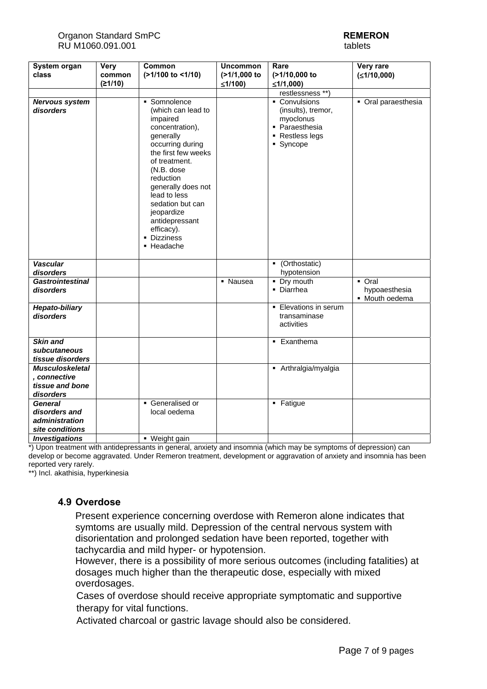#### Organon Standard SmPC **REMERON** RU M1060.091.001 tablets

| System organ                                 | <b>Very</b> | Common                                                                                                                                                                                                                                                                                                     | <b>Uncommon</b> | Rare                                                                                               | Very rare                       |
|----------------------------------------------|-------------|------------------------------------------------------------------------------------------------------------------------------------------------------------------------------------------------------------------------------------------------------------------------------------------------------------|-----------------|----------------------------------------------------------------------------------------------------|---------------------------------|
| class                                        | common      | (>1/100 to <1/10)                                                                                                                                                                                                                                                                                          | (>1/1,000 to    | (>1/10,000 to                                                                                      | (≤1/10,000)                     |
|                                              | (21/10)     |                                                                                                                                                                                                                                                                                                            | ≤1/100)         | ≤1/1,000)                                                                                          |                                 |
|                                              |             |                                                                                                                                                                                                                                                                                                            |                 | restlessness **)                                                                                   |                                 |
| Nervous system<br>disorders                  |             | • Somnolence<br>(which can lead to<br>impaired<br>concentration),<br>generally<br>occurring during<br>the first few weeks<br>of treatment.<br>(N.B. dose<br>reduction<br>generally does not<br>lead to less<br>sedation but can<br>jeopardize<br>antidepressant<br>efficacy).<br>• Dizziness<br>• Headache |                 | • Convulsions<br>(insults), tremor,<br>myoclonus<br>• Paraesthesia<br>• Restless legs<br>• Syncope | • Oral paraesthesia             |
| <b>Vascular</b><br>disorders                 |             |                                                                                                                                                                                                                                                                                                            |                 | • (Orthostatic)<br>hypotension                                                                     |                                 |
| <b>Gastrointestinal</b>                      |             |                                                                                                                                                                                                                                                                                                            | • Nausea        | • Dry mouth                                                                                        | • Oral                          |
| disorders                                    |             |                                                                                                                                                                                                                                                                                                            |                 | • Diarrhea                                                                                         | hypoaesthesia<br>· Mouth oedema |
| <b>Hepato-biliary</b><br>disorders           |             |                                                                                                                                                                                                                                                                                                            |                 | • Elevations in serum<br>transaminase<br>activities                                                |                                 |
| Skin and<br>subcutaneous<br>tissue disorders |             |                                                                                                                                                                                                                                                                                                            |                 | • Exanthema                                                                                        |                                 |
| <b>Musculoskeletal</b>                       |             |                                                                                                                                                                                                                                                                                                            |                 | - Arthralgia/myalgia                                                                               |                                 |
| , connective                                 |             |                                                                                                                                                                                                                                                                                                            |                 |                                                                                                    |                                 |
| tissue and bone                              |             |                                                                                                                                                                                                                                                                                                            |                 |                                                                                                    |                                 |
| disorders                                    |             |                                                                                                                                                                                                                                                                                                            |                 |                                                                                                    |                                 |
| <b>General</b>                               |             | Generalised or                                                                                                                                                                                                                                                                                             |                 | • Fatigue                                                                                          |                                 |
| disorders and                                |             | local oedema                                                                                                                                                                                                                                                                                               |                 |                                                                                                    |                                 |
| administration                               |             |                                                                                                                                                                                                                                                                                                            |                 |                                                                                                    |                                 |
| site conditions                              |             |                                                                                                                                                                                                                                                                                                            |                 |                                                                                                    |                                 |
| <b>Investigations</b>                        |             | • Weight gain                                                                                                                                                                                                                                                                                              |                 |                                                                                                    |                                 |

\*) Upon treatment with antidepressants in general, anxiety and insomnia (which may be symptoms of depression) can develop or become aggravated. Under Remeron treatment, development or aggravation of anxiety and insomnia has been reported very rarely.

\*\*) Incl. akathisia, hyperkinesia

## **4.9 Overdose**

Present experience concerning overdose with Remeron alone indicates that symtoms are usually mild. Depression of the central nervous system with disorientation and prolonged sedation have been reported, together with tachycardia and mild hyper- or hypotension.

However, there is a possibility of more serious outcomes (including fatalities) at dosages much higher than the therapeutic dose, especially with mixed overdosages.

Cases of overdose should receive appropriate symptomatic and supportive therapy for vital functions.

Activated charcoal or gastric lavage should also be considered.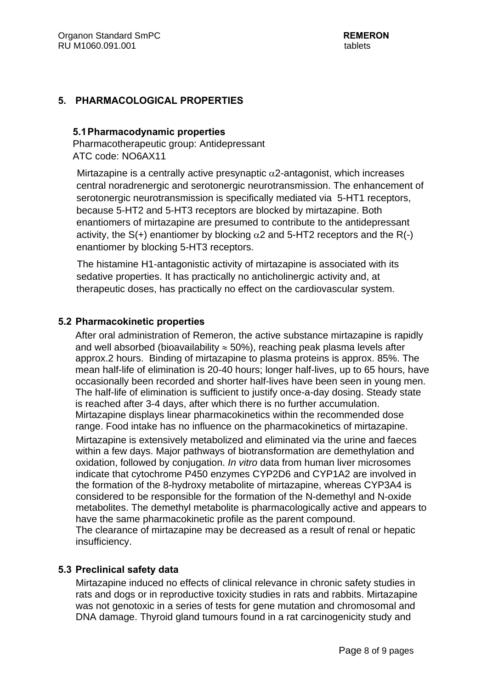#### **5. PHARMACOLOGICAL PROPERTIES**

#### **5.1Pharmacodynamic properties**

Pharmacotherapeutic group: Antidepressant ATC code: NO6AX11

Mirtazapine is a centrally active presynaptic  $\alpha$ 2-antagonist, which increases central noradrenergic and serotonergic neurotransmission. The enhancement of serotonergic neurotransmission is specifically mediated via 5-HT1 receptors, because 5-HT2 and 5-HT3 receptors are blocked by mirtazapine. Both enantiomers of mirtazapine are presumed to contribute to the antidepressant activity, the  $S(+)$  enantiomer by blocking  $\alpha$ 2 and 5-HT2 receptors and the R(-) enantiomer by blocking 5-HT3 receptors.

 The histamine H1-antagonistic activity of mirtazapine is associated with its sedative properties. It has practically no anticholinergic activity and, at therapeutic doses, has practically no effect on the cardiovascular system.

#### **5.2 Pharmacokinetic properties**

After oral administration of Remeron, the active substance mirtazapine is rapidly and well absorbed (bioavailability  $\approx$  50%), reaching peak plasma levels after approx.2 hours. Binding of mirtazapine to plasma proteins is approx. 85%. The mean half-life of elimination is 20-40 hours; longer half-lives, up to 65 hours, have occasionally been recorded and shorter half-lives have been seen in young men. The half-life of elimination is sufficient to justify once-a-day dosing. Steady state is reached after 3-4 days, after which there is no further accumulation. Mirtazapine displays linear pharmacokinetics within the recommended dose range. Food intake has no influence on the pharmacokinetics of mirtazapine.

Mirtazapine is extensively metabolized and eliminated via the urine and faeces within a few days. Major pathways of biotransformation are demethylation and oxidation, followed by conjugation. *In vitro* data from human liver microsomes indicate that cytochrome P450 enzymes CYP2D6 and CYP1A2 are involved in the formation of the 8-hydroxy metabolite of mirtazapine, whereas CYP3A4 is considered to be responsible for the formation of the N-demethyl and N-oxide metabolites. The demethyl metabolite is pharmacologically active and appears to have the same pharmacokinetic profile as the parent compound.

The clearance of mirtazapine may be decreased as a result of renal or hepatic insufficiency.

#### **5.3 Preclinical safety data**

Mirtazapine induced no effects of clinical relevance in chronic safety studies in rats and dogs or in reproductive toxicity studies in rats and rabbits. Mirtazapine was not genotoxic in a series of tests for gene mutation and chromosomal and DNA damage. Thyroid gland tumours found in a rat carcinogenicity study and